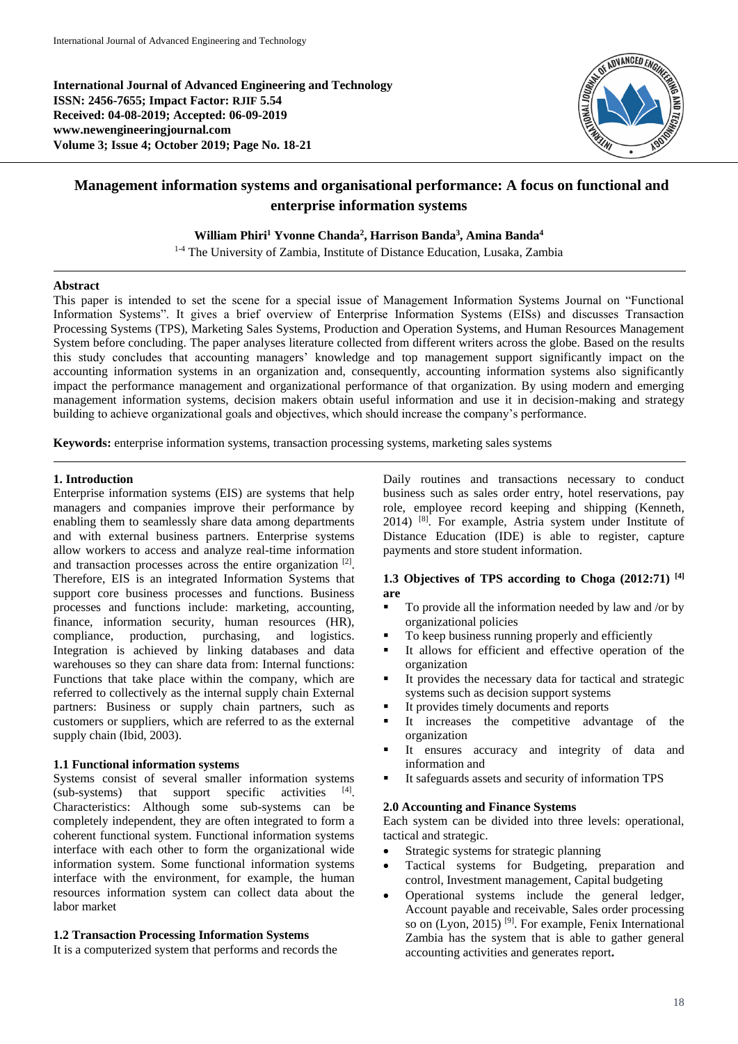**International Journal of Advanced Engineering and Technology ISSN: 2456-7655; Impact Factor: RJIF 5.54 Received: 04-08-2019; Accepted: 06-09-2019 www.newengineeringjournal.com Volume 3; Issue 4; October 2019; Page No. 18-21**



# **Management information systems and organisational performance: A focus on functional and enterprise information systems**

#### **William Phiri<sup>1</sup> Yvonne Chanda<sup>2</sup> , Harrison Banda<sup>3</sup> , Amina Banda<sup>4</sup>**

<sup>1-4</sup> The University of Zambia, Institute of Distance Education, Lusaka, Zambia

#### **Abstract**

This paper is intended to set the scene for a special issue of Management Information Systems Journal on "Functional Information Systems". It gives a brief overview of Enterprise Information Systems (EISs) and discusses Transaction Processing Systems (TPS), Marketing Sales Systems, Production and Operation Systems, and Human Resources Management System before concluding. The paper analyses literature collected from different writers across the globe. Based on the results this study concludes that accounting managers' knowledge and top management support significantly impact on the accounting information systems in an organization and, consequently, accounting information systems also significantly impact the performance management and organizational performance of that organization. By using modern and emerging management information systems, decision makers obtain useful information and use it in decision-making and strategy building to achieve organizational goals and objectives, which should increase the company's performance.

**Keywords:** enterprise information systems, transaction processing systems, marketing sales systems

#### **1. Introduction**

Enterprise information systems (EIS) are systems that help managers and companies improve their performance by enabling them to seamlessly share data among departments and with external business partners. Enterprise systems allow workers to access and analyze real-time information and transaction processes across the entire organization<sup>[2]</sup>. Therefore, EIS is an integrated Information Systems that support core business processes and functions. Business processes and functions include: marketing, accounting, finance, information security, human resources (HR), compliance, production, purchasing, and logistics. Integration is achieved by linking databases and data warehouses so they can share data from: Internal functions: Functions that take place within the company, which are referred to collectively as the internal supply chain External partners: Business or supply chain partners, such as customers or suppliers, which are referred to as the external supply chain (Ibid, 2003).

## **1.1 Functional information systems**

Systems consist of several smaller information systems (sub-systems) that support specific activities [4]. Characteristics: Although some sub-systems can be completely independent, they are often integrated to form a coherent functional system. Functional information systems interface with each other to form the organizational wide information system. Some functional information systems interface with the environment, for example, the human resources information system can collect data about the labor market

## **1.2 Transaction Processing Information Systems**

It is a computerized system that performs and records the

Daily routines and transactions necessary to conduct business such as sales order entry, hotel reservations, pay role, employee record keeping and shipping (Kenneth, 2014) [8] . For example, Astria system under Institute of Distance Education (IDE) is able to register, capture payments and store student information.

## **1.3 Objectives of TPS according to Choga (2012:71) [4] are**

- To provide all the information needed by law and /or by organizational policies
- To keep business running properly and efficiently
- It allows for efficient and effective operation of the organization
- It provides the necessary data for tactical and strategic systems such as decision support systems
- It provides timely documents and reports
- It increases the competitive advantage of the organization
- It ensures accuracy and integrity of data and information and
- It safeguards assets and security of information TPS

#### **2.0 Accounting and Finance Systems**

Each system can be divided into three levels: operational, tactical and strategic.

- Strategic systems for strategic planning
- Tactical systems for Budgeting, preparation and control, Investment management, Capital budgeting
- Operational systems include the general ledger, Account payable and receivable, Sales order processing so on (Lyon, 2015)<sup>[9]</sup>. For example, Fenix International Zambia has the system that is able to gather general accounting activities and generates report**.**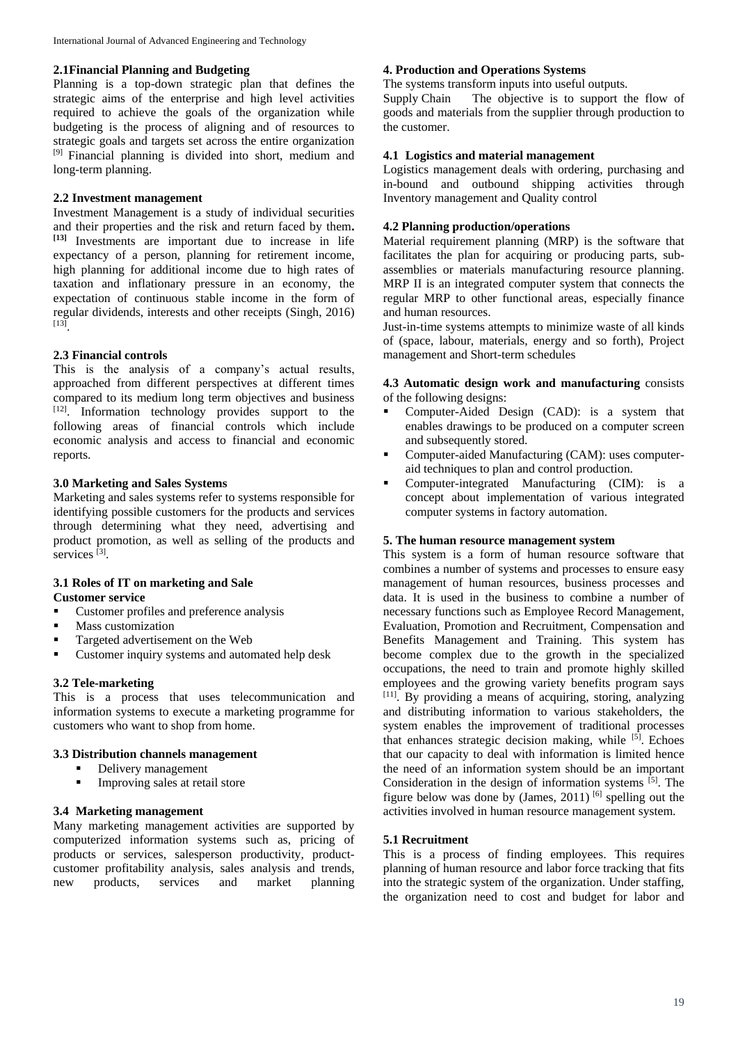#### **2.1Financial Planning and Budgeting**

Planning is a top-down strategic plan that defines the strategic aims of the enterprise and high level activities required to achieve the goals of the organization while budgeting is the process of aligning and of resources to strategic goals and targets set across the entire organization [9] Financial planning is divided into short, medium and long-term planning.

## **2.2 Investment management**

Investment Management is a study of individual securities and their properties and the risk and return faced by them**. [13]** Investments are important due to increase in life expectancy of a person, planning for retirement income, high planning for additional income due to high rates of taxation and inflationary pressure in an economy, the expectation of continuous stable income in the form of regular dividends, interests and other receipts (Singh, 2016) [13] .

## **2.3 Financial controls**

This is the analysis of a company's actual results, approached from different perspectives at different times compared to its medium long term objectives and business [12]. Information technology provides support to the following areas of financial controls which include economic analysis and access to financial and economic reports.

#### **3.0 Marketing and Sales Systems**

Marketing and sales systems refer to systems responsible for identifying possible customers for the products and services through determining what they need, advertising and product promotion, as well as selling of the products and services<sup>[3]</sup>.

#### **3.1 Roles of IT on marketing and Sale Customer service**

- Customer profiles and preference analysis
- **Mass customization**
- Targeted advertisement on the Web
- **•** Customer inquiry systems and automated help desk

## **3.2 Tele-marketing**

This is a process that uses telecommunication and information systems to execute a marketing programme for customers who want to shop from home.

## **3.3 Distribution channels management**

- Delivery management<br>Improving sales at reta
- Improving sales at retail store

## **3.4 Marketing management**

Many marketing management activities are supported by computerized information systems such as, pricing of products or services, salesperson productivity, productcustomer profitability analysis, sales analysis and trends, new products, services and market planning

## **4. Production and Operations Systems**

The systems transform inputs into useful outputs. Supply Chain The objective is to support the flow of goods and materials from the supplier through production to the customer.

#### **4.1 Logistics and material management**

Logistics management deals with ordering, purchasing and in-bound and outbound shipping activities through Inventory management and Quality control

#### **4.2 Planning production/operations**

Material requirement planning (MRP) is the software that facilitates the plan for acquiring or producing parts, subassemblies or materials manufacturing resource planning. MRP II is an integrated computer system that connects the regular MRP to other functional areas, especially finance and human resources.

Just-in-time systems attempts to minimize waste of all kinds of (space, labour, materials, energy and so forth), Project management and Short-term schedules

#### **4.3 Automatic design work and manufacturing** consists of the following designs:

- Computer-Aided Design (CAD): is a system that enables drawings to be produced on a computer screen and subsequently stored.
- Computer-aided Manufacturing (CAM): uses computeraid techniques to plan and control production.
- **Computer-integrated Manufacturing (CIM):** is a concept about implementation of various integrated computer systems in factory automation.

#### **5. The human resource management system**

This system is a form of human resource software that combines a number of systems and processes to ensure easy management of human resources, business processes and data. It is used in the business to combine a number of necessary functions such as Employee Record Management, Evaluation, Promotion and Recruitment, Compensation and Benefits Management and Training. This system has become complex due to the growth in the specialized occupations, the need to train and promote highly skilled employees and the growing variety benefits program says [11] . By providing a means of acquiring, storing, analyzing and distributing information to various stakeholders, the system enables the improvement of traditional processes that enhances strategic decision making, while <sup>[5]</sup>. Echoes that our capacity to deal with information is limited hence the need of an information system should be an important Consideration in the design of information systems [5] . The figure below was done by (James, 2011)  $^{[6]}$  spelling out the activities involved in human resource management system.

## **5.1 Recruitment**

This is a process of finding employees. This requires planning of human resource and labor force tracking that fits into the strategic system of the organization. Under staffing, the organization need to cost and budget for labor and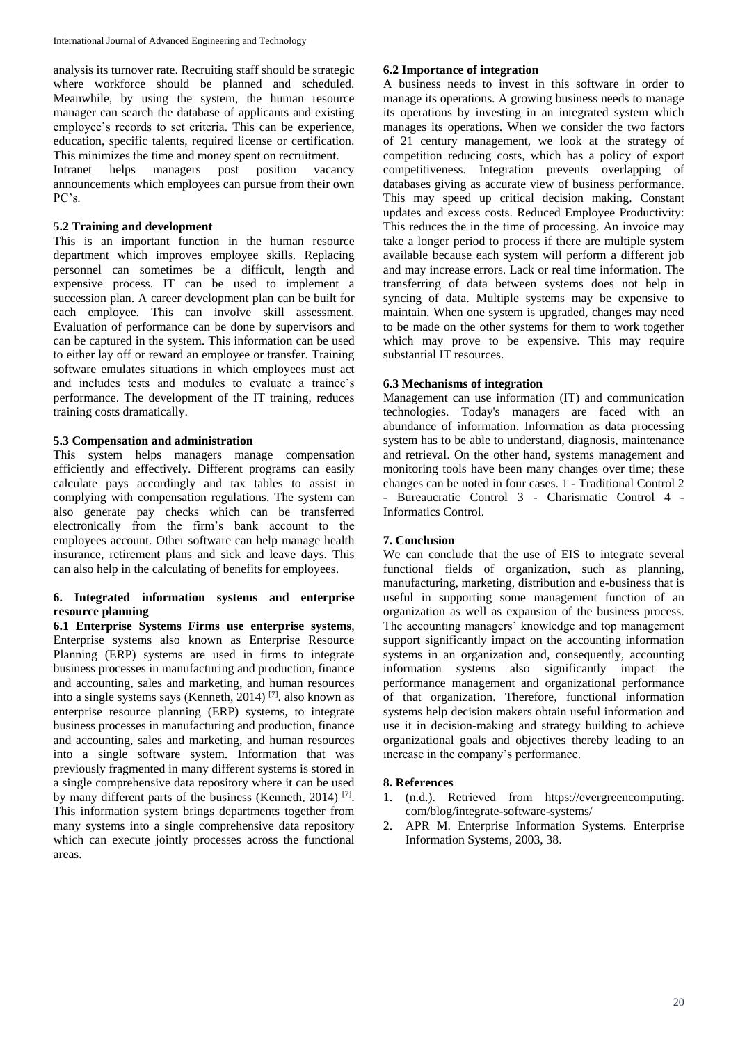analysis its turnover rate. Recruiting staff should be strategic where workforce should be planned and scheduled. Meanwhile, by using the system, the human resource manager can search the database of applicants and existing employee's records to set criteria. This can be experience, education, specific talents, required license or certification. This minimizes the time and money spent on recruitment.

Intranet helps managers post position vacancy announcements which employees can pursue from their own PC's.

## **5.2 Training and development**

This is an important function in the human resource department which improves employee skills. Replacing personnel can sometimes be a difficult, length and expensive process. IT can be used to implement a succession plan. A career development plan can be built for each employee. This can involve skill assessment. Evaluation of performance can be done by supervisors and can be captured in the system. This information can be used to either lay off or reward an employee or transfer. Training software emulates situations in which employees must act and includes tests and modules to evaluate a trainee's performance. The development of the IT training, reduces training costs dramatically.

## **5.3 Compensation and administration**

This system helps managers manage compensation efficiently and effectively. Different programs can easily calculate pays accordingly and tax tables to assist in complying with compensation regulations. The system can also generate pay checks which can be transferred electronically from the firm's bank account to the employees account. Other software can help manage health insurance, retirement plans and sick and leave days. This can also help in the calculating of benefits for employees.

## **6. Integrated information systems and enterprise resource planning**

**6.1 Enterprise Systems Firms use enterprise systems**, Enterprise systems also known as Enterprise Resource Planning (ERP) systems are used in firms to integrate business processes in manufacturing and production, finance and accounting, sales and marketing, and human resources into a single systems says (Kenneth, 2014) [7] . also known as enterprise resource planning (ERP) systems, to integrate business processes in manufacturing and production, finance and accounting, sales and marketing, and human resources into a single software system. Information that was previously fragmented in many different systems is stored in a single comprehensive data repository where it can be used by many different parts of the business (Kenneth, 2014)<sup>[7]</sup>. This information system brings departments together from many systems into a single comprehensive data repository which can execute jointly processes across the functional areas.

## **6.2 Importance of integration**

A business needs to invest in this software in order to manage its operations. A growing business needs to manage its operations by investing in an integrated system which manages its operations. When we consider the two factors of 21 century management, we look at the strategy of competition reducing costs, which has a policy of export competitiveness. Integration prevents overlapping of databases giving as accurate view of business performance. This may speed up critical decision making. Constant updates and excess costs. Reduced Employee Productivity: This reduces the in the time of processing. An invoice may take a longer period to process if there are multiple system available because each system will perform a different job and may increase errors. Lack or real time information. The transferring of data between systems does not help in syncing of data. Multiple systems may be expensive to maintain. When one system is upgraded, changes may need to be made on the other systems for them to work together which may prove to be expensive. This may require substantial IT resources.

## **6.3 Mechanisms of integration**

Management can use information (IT) and communication technologies. Today's managers are faced with an abundance of information. Information as data processing system has to be able to understand, diagnosis, maintenance and retrieval. On the other hand, systems management and monitoring tools have been many changes over time; these changes can be noted in four cases. 1 - Traditional Control 2 - Bureaucratic Control 3 - Charismatic Control 4 - Informatics Control.

# **7. Conclusion**

We can conclude that the use of EIS to integrate several functional fields of organization, such as planning, manufacturing, marketing, distribution and e-business that is useful in supporting some management function of an organization as well as expansion of the business process. The accounting managers' knowledge and top management support significantly impact on the accounting information systems in an organization and, consequently, accounting information systems also significantly impact the performance management and organizational performance of that organization. Therefore, functional information systems help decision makers obtain useful information and use it in decision-making and strategy building to achieve organizational goals and objectives thereby leading to an increase in the company's performance.

# **8. References**

- 1. (n.d.). Retrieved from https://evergreencomputing. com/blog/integrate-software-systems/
- 2. APR M. Enterprise Information Systems. Enterprise Information Systems, 2003, 38.